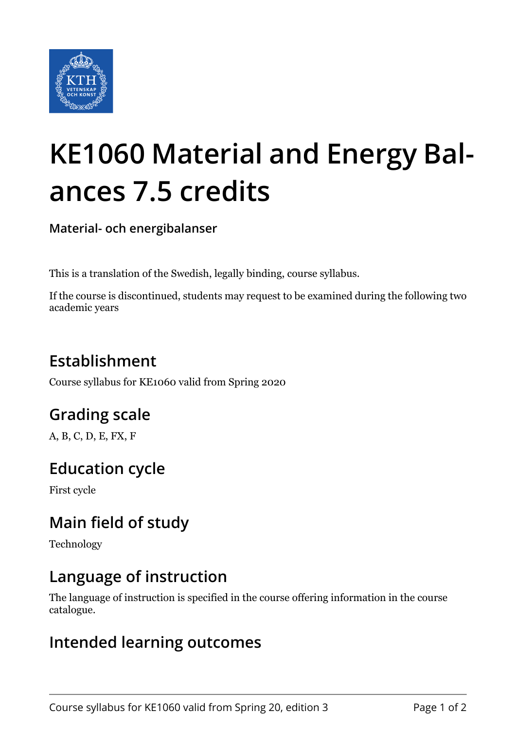

# **KE1060 Material and Energy Balances 7.5 credits**

**Material- och energibalanser**

This is a translation of the Swedish, legally binding, course syllabus.

If the course is discontinued, students may request to be examined during the following two academic years

## **Establishment**

Course syllabus for KE1060 valid from Spring 2020

## **Grading scale**

A, B, C, D, E, FX, F

## **Education cycle**

First cycle

## **Main field of study**

Technology

## **Language of instruction**

The language of instruction is specified in the course offering information in the course catalogue.

#### **Intended learning outcomes**